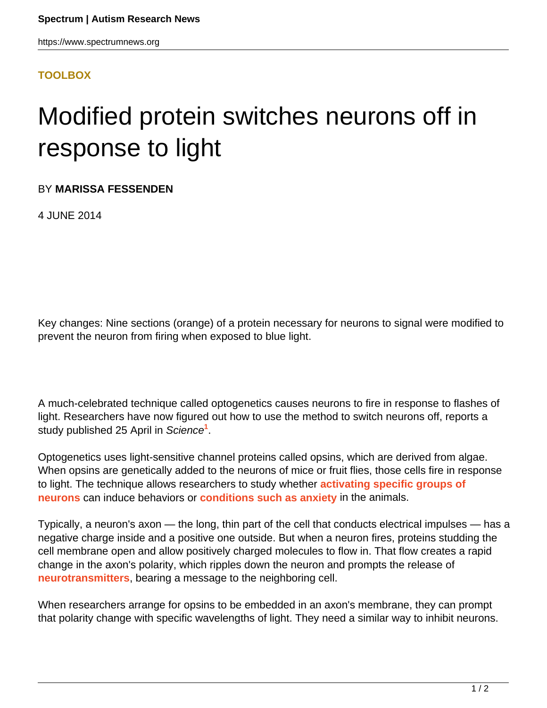## **[TOOLBOX](HTTPS://WWW.SPECTRUMNEWS.ORG/NEWS/TOOLBOX/)**

## Modified protein switches neurons off in response to light

BY **MARISSA FESSENDEN**

4 JUNE 2014

Key changes: Nine sections (orange) of a protein necessary for neurons to signal were modified to prevent the neuron from firing when exposed to blue light.

A much-celebrated technique called optogenetics causes neurons to fire in response to flashes of light. Researchers have now figured out how to use the method to switch neurons off, reports a study published 25 April in Science**<sup>1</sup>** .

Optogenetics uses light-sensitive channel proteins called opsins, which are derived from algae. When opsins are genetically added to the neurons of mice or fruit flies, those cells fire in response to light. The technique allows researchers to study whether **[activating specific groups of](https://www.spectrumnews.org/news/2008/optogenetics-sheds-light-on-role-of-different-neurons) [neurons](https://www.spectrumnews.org/news/2008/optogenetics-sheds-light-on-role-of-different-neurons)** can induce behaviors or **[conditions such as anxiety](https://www.spectrumnews.org/toolbox/2011/scientists-zap-anxiety-circuit-in-mice)** in the animals.

Typically, a neuron's axon — the long, thin part of the cell that conducts electrical impulses — has a negative charge inside and a positive one outside. But when a neuron fires, proteins studding the cell membrane open and allow positively charged molecules to flow in. That flow creates a rapid change in the axon's polarity, which ripples down the neuron and prompts the release of **[neurotransmitters](https://www.spectrumnews.org/wiki/neurotransmitters)**, bearing a message to the neighboring cell.

When researchers arrange for opsins to be embedded in an axon's membrane, they can prompt that polarity change with specific wavelengths of light. They need a similar way to inhibit neurons.